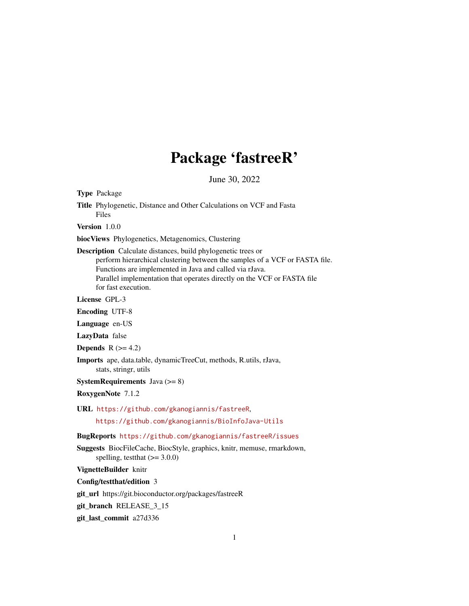## Package 'fastreeR'

June 30, 2022

<span id="page-0-0"></span>Type Package

Title Phylogenetic, Distance and Other Calculations on VCF and Fasta Files

Version 1.0.0

biocViews Phylogenetics, Metagenomics, Clustering

Description Calculate distances, build phylogenetic trees or perform hierarchical clustering between the samples of a VCF or FASTA file. Functions are implemented in Java and called via rJava. Parallel implementation that operates directly on the VCF or FASTA file for fast execution.

License GPL-3

Encoding UTF-8

Language en-US

LazyData false

Depends  $R$  ( $>= 4.2$ )

Imports ape, data.table, dynamicTreeCut, methods, R.utils, rJava, stats, stringr, utils

**SystemRequirements** Java  $(>= 8)$ 

RoxygenNote 7.1.2

URL <https://github.com/gkanogiannis/fastreeR>, <https://github.com/gkanogiannis/BioInfoJava-Utils>

BugReports <https://github.com/gkanogiannis/fastreeR/issues>

Suggests BiocFileCache, BiocStyle, graphics, knitr, memuse, rmarkdown, spelling, test that  $(>= 3.0.0)$ 

VignetteBuilder knitr

Config/testthat/edition 3

git\_url https://git.bioconductor.org/packages/fastreeR

git\_branch RELEASE\_3\_15

git\_last\_commit a27d336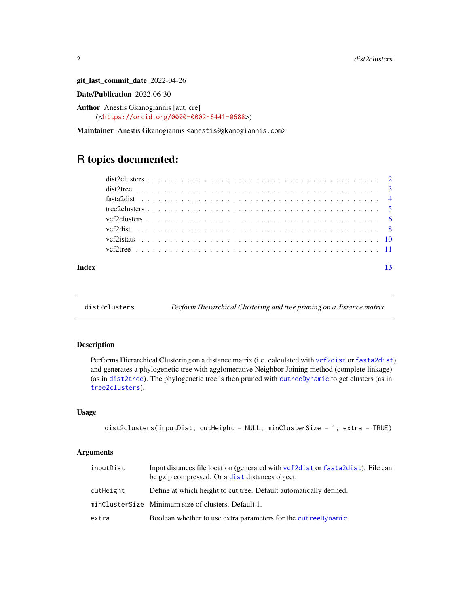git\_last\_commit\_date 2022-04-26

Date/Publication 2022-06-30

Author Anestis Gkanogiannis [aut, cre] (<<https://orcid.org/0000-0002-6441-0688>>)

Maintainer Anestis Gkanogiannis <anestis@gkanogiannis.com>

### R topics documented:

| Index |  |  |  |  |  |  |  |  |  |  |  |  |  |  |  |  |  |  |
|-------|--|--|--|--|--|--|--|--|--|--|--|--|--|--|--|--|--|--|
|       |  |  |  |  |  |  |  |  |  |  |  |  |  |  |  |  |  |  |

dist2clusters *Perform Hierarchical Clustering and tree pruning on a distance matrix*

#### Description

Performs Hierarchical Clustering on a distance matrix (i.e. calculated with [vcf2dist](#page-7-1) or [fasta2dist](#page-3-1)) and generates a phylogenetic tree with agglomerative Neighbor Joining method (complete linkage) (as in [dist2tree](#page-2-1)). The phylogenetic tree is then pruned with [cutreeDynamic](#page-0-0) to get clusters (as in [tree2clusters](#page-4-1)).

#### Usage

```
dist2clusters(inputDist, cutHeight = NULL, minClusterSize = 1, extra = TRUE)
```

| inputDist | Input distances file location (generated with vcf2dist or fasta2dist). File can<br>be gzip compressed. Or a dist distances object. |
|-----------|------------------------------------------------------------------------------------------------------------------------------------|
| cutHeight | Define at which height to cut tree. Default automatically defined.                                                                 |
|           | minClusterSize Minimum size of clusters. Default 1.                                                                                |
| extra     | Boolean whether to use extra parameters for the cutreeDynamic.                                                                     |

<span id="page-1-0"></span>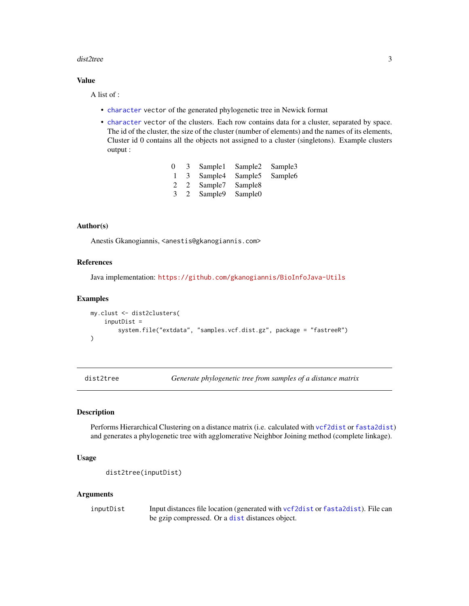#### <span id="page-2-0"></span>dist2tree 3

#### Value

A list of :

- [character](#page-0-0) vector of the generated phylogenetic tree in Newick format
- [character](#page-0-0) vector of the clusters. Each row contains data for a cluster, separated by space. The id of the cluster, the size of the cluster (number of elements) and the names of its elements, Cluster id 0 contains all the objects not assigned to a cluster (singletons). Example clusters output :

| $\Omega$      | -3-          | Sample1             | Sample <sub>2</sub> | Sample <sub>3</sub> |
|---------------|--------------|---------------------|---------------------|---------------------|
|               | 3            | Sample4             | Sample <sub>5</sub> | Sample <sub>6</sub> |
| $\mathcal{L}$ | <sup>2</sup> | Sample7             | Sample <sub>8</sub> |                     |
| 3             | 2            | Sample <sub>9</sub> | Sample <sub>0</sub> |                     |

#### Author(s)

Anestis Gkanogiannis, <anestis@gkanogiannis.com>

#### References

Java implementation: <https://github.com/gkanogiannis/BioInfoJava-Utils>

#### Examples

```
my.clust <- dist2clusters(
    inputDist =
        system.file("extdata", "samples.vcf.dist.gz", package = "fastreeR")
\lambda
```
<span id="page-2-1"></span>dist2tree *Generate phylogenetic tree from samples of a distance matrix*

#### Description

Performs Hierarchical Clustering on a distance matrix (i.e. calculated with [vcf2dist](#page-7-1) or [fasta2dist](#page-3-1)) and generates a phylogenetic tree with agglomerative Neighbor Joining method (complete linkage).

#### Usage

```
dist2tree(inputDist)
```
#### **Arguments**

inputDist Input distances file location (generated with [vcf2dist](#page-7-1) or [fasta2dist](#page-3-1)). File can be gzip compressed. Or a [dist](#page-0-0) distances object.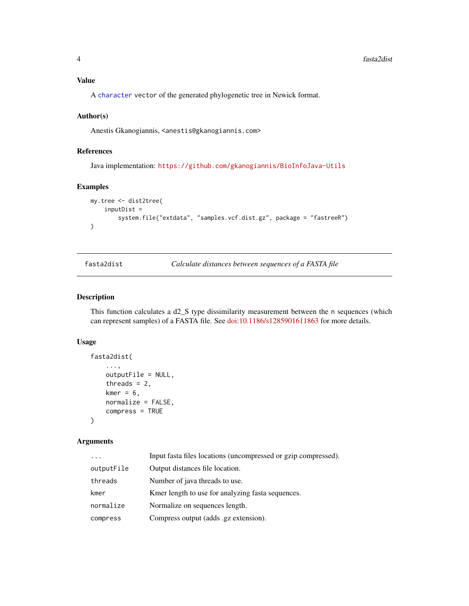#### <span id="page-3-0"></span>Value

A [character](#page-0-0) vector of the generated phylogenetic tree in Newick format.

#### Author(s)

Anestis Gkanogiannis, <anestis@gkanogiannis.com>

#### References

Java implementation: <https://github.com/gkanogiannis/BioInfoJava-Utils>

#### Examples

```
my.tree <- dist2tree(
    inputDist =
        system.file("extdata", "samples.vcf.dist.gz", package = "fastreeR")
\mathcal{L}
```
<span id="page-3-1"></span>fasta2dist *Calculate distances between sequences of a FASTA file*

#### Description

This function calculates a  $d2_S$  type dissimilarity measurement between the n sequences (which can represent samples) of a FASTA file. See [doi:10.1186/s1285901611863](https://doi.org/10.1186/s12859-016-1186-3) for more details.

#### Usage

```
fasta2dist(
    ...,
    outputFile = NULL,
    threads = 2,
    kmer = 6,
    normalize = FALSE,
    compress = TRUE
```
#### )

|            | Input fasta files locations (uncompressed or gzip compressed). |
|------------|----------------------------------------------------------------|
| outputFile | Output distances file location.                                |
| threads    | Number of java threads to use.                                 |
| kmer       | Kmer length to use for analyzing fasta sequences.              |
| normalize  | Normalize on sequences length.                                 |
| compress   | Compress output (adds .gz extension).                          |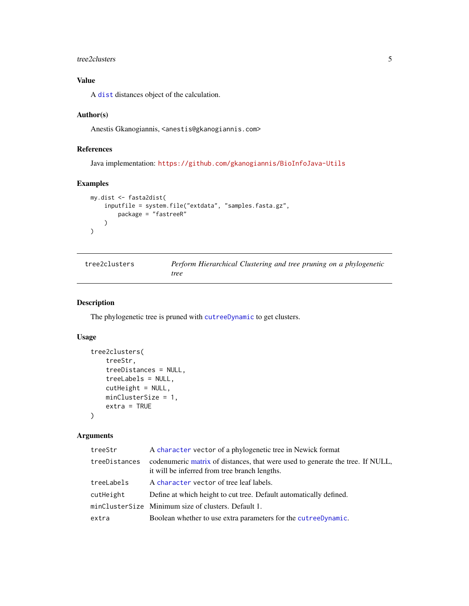#### <span id="page-4-0"></span>tree2clusters 5

#### Value

A [dist](#page-0-0) distances object of the calculation.

#### Author(s)

Anestis Gkanogiannis, <anestis@gkanogiannis.com>

#### References

Java implementation: <https://github.com/gkanogiannis/BioInfoJava-Utils>

#### Examples

```
my.dist <- fasta2dist(
    inputfile = system.file("extdata", "samples.fasta.gz",
        package = "fastreeR"
   )
)
```
<span id="page-4-1"></span>

| tree2clusters | Perform Hierarchical Clustering and tree pruning on a phylogenetic |  |  |  |
|---------------|--------------------------------------------------------------------|--|--|--|
|               | tree                                                               |  |  |  |

#### Description

The phylogenetic tree is pruned with [cutreeDynamic](#page-0-0) to get clusters.

#### Usage

```
tree2clusters(
   treeStr,
    treeDistances = NULL,
    treeLabels = NULL,
    cutHeight = NULL,
   minClusterSize = 1,
    extra = TRUE\mathcal{L}
```

| treeStr       | A character vector of a phylogenetic tree in Newick format                                                                      |
|---------------|---------------------------------------------------------------------------------------------------------------------------------|
| treeDistances | codenumeric matrix of distances, that were used to generate the tree. If NULL,<br>it will be inferred from tree branch lengths. |
| treeLabels    | A character vector of tree leaf labels.                                                                                         |
| cutHeight     | Define at which height to cut tree. Default automatically defined.                                                              |
|               | minClusterSize Minimum size of clusters. Default 1.                                                                             |
| extra         | Boolean whether to use extra parameters for the cutreedynamic.                                                                  |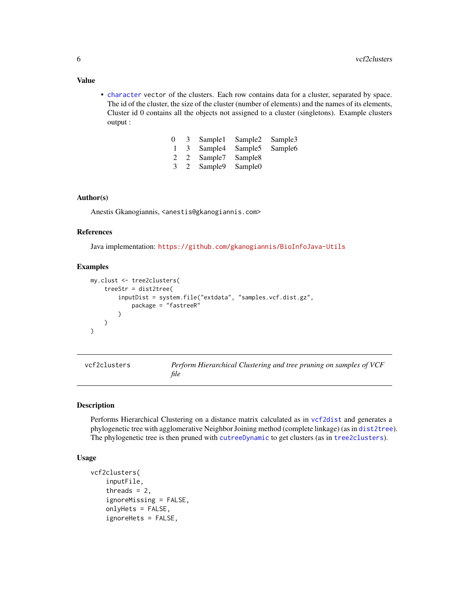• [character](#page-0-0) vector of the clusters. Each row contains data for a cluster, separated by space. The id of the cluster, the size of the cluster (number of elements) and the names of its elements, Cluster id 0 contains all the objects not assigned to a cluster (singletons). Example clusters output :

| $\Omega$ | 3 | Sample1             | Sample <sub>2</sub> | Sample3             |
|----------|---|---------------------|---------------------|---------------------|
|          | 3 | Sample4             | Sample <sub>5</sub> | Sample <sub>6</sub> |
| 2        | 2 | Sample7             | Sample <sub>8</sub> |                     |
| 3        | 2 | Sample <sub>9</sub> | Sample <sub>0</sub> |                     |

#### Author(s)

Anestis Gkanogiannis, <anestis@gkanogiannis.com>

#### References

Java implementation: <https://github.com/gkanogiannis/BioInfoJava-Utils>

#### Examples

```
my.clust <- tree2clusters(
    treeStr = dist2tree(
        inputDist = system.file("extdata", "samples.vcf.dist.gz",
            package = "fastreeR"
        )
   )
)
```

| vcf2clusters | Perform Hierarchical Clustering and tree pruning on samples of VCF |
|--------------|--------------------------------------------------------------------|
|              | file                                                               |

#### Description

Performs Hierarchical Clustering on a distance matrix calculated as in [vcf2dist](#page-7-1) and generates a phylogenetic tree with agglomerative Neighbor Joining method (complete linkage) (as in [dist2tree](#page-2-1)). The phylogenetic tree is then pruned with [cutreeDynamic](#page-0-0) to get clusters (as in [tree2clusters](#page-4-1)).

#### Usage

```
vcf2clusters(
    inputFile,
    threads = 2,
    ignoreMissing = FALSE,
    onlyHets = FALSE,
    ignoreHets = FALSE,
```
#### <span id="page-5-0"></span>Value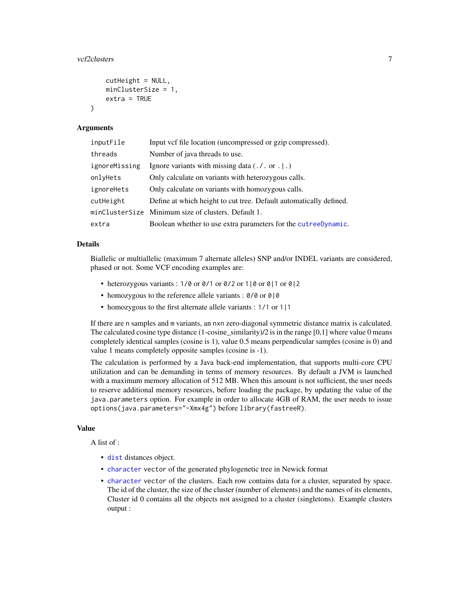```
cutHeight = NULL,
minClusterSize = 1,
extra = TRUE
```
#### Arguments

 $\lambda$ 

| inputFile     | Input vcf file location (uncompressed or gzip compressed).         |
|---------------|--------------------------------------------------------------------|
| threads       | Number of java threads to use.                                     |
| ignoreMissing | Ignore variants with missing data $(. / . or .   .)$               |
| onlyHets      | Only calculate on variants with heterozygous calls.                |
| ignoreHets    | Only calculate on variants with homozygous calls.                  |
| cutHeight     | Define at which height to cut tree. Default automatically defined. |
|               | minClusterSize Minimum size of clusters. Default 1.                |
| extra         | Boolean whether to use extra parameters for the cutreeDynamic.     |

#### Details

Biallelic or multiallelic (maximum 7 alternate alleles) SNP and/or INDEL variants are considered, phased or not. Some VCF encoding examples are:

- heterozygous variants : 1/0 or 0/1 or 0/2 or 1|0 or 0|1 or 0|2
- homozygous to the reference allele variants : 0/0 or 0|0
- homozygous to the first alternate allele variants : 1/1 or 1|1

If there are n samples and m variants, an nxn zero-diagonal symmetric distance matrix is calculated. The calculated cosine type distance  $(1$ -cosine\_similarity)/2 is in the range  $[0,1]$  where value 0 means completely identical samples (cosine is 1), value 0.5 means perpendicular samples (cosine is 0) and value 1 means completely opposite samples (cosine is -1).

The calculation is performed by a Java back-end implementation, that supports multi-core CPU utilization and can be demanding in terms of memory resources. By default a JVM is launched with a maximum memory allocation of 512 MB. When this amount is not sufficient, the user needs to reserve additional memory resources, before loading the package, by updating the value of the java.parameters option. For example in order to allocate 4GB of RAM, the user needs to issue options(java.parameters="-Xmx4g") before library(fastreeR).

#### Value

A list of :

- [dist](#page-0-0) distances object.
- [character](#page-0-0) vector of the generated phylogenetic tree in Newick format
- [character](#page-0-0) vector of the clusters. Each row contains data for a cluster, separated by space. The id of the cluster, the size of the cluster (number of elements) and the names of its elements, Cluster id 0 contains all the objects not assigned to a cluster (singletons). Example clusters output :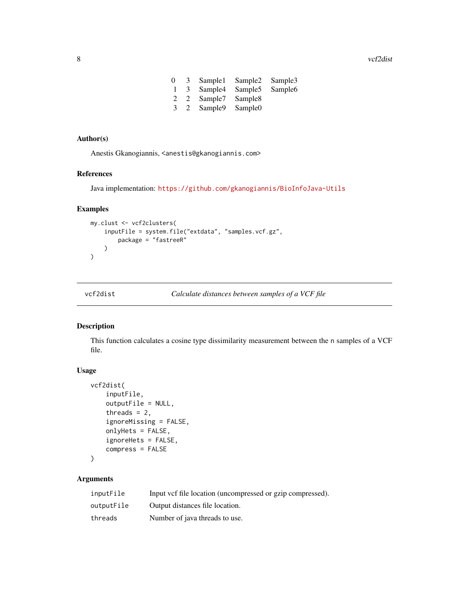<span id="page-7-0"></span>8 vcf2dist was a series of the contract of the contract of the contract of the contract of the contract of the contract of the contract of the contract of the contract of the contract of the contract of the contract of the

| 0             | 3            | Sample1 | Sample <sub>2</sub> | Sample3             |
|---------------|--------------|---------|---------------------|---------------------|
|               | 3            | Sample4 | Sample <sub>5</sub> | Sample <sub>6</sub> |
| $\mathcal{L}$ | 2            | Sample7 | Sample <sub>8</sub> |                     |
| 3             | <sup>2</sup> | Sample9 | Sample <sub>0</sub> |                     |

#### Author(s)

Anestis Gkanogiannis, <anestis@gkanogiannis.com>

#### References

Java implementation: <https://github.com/gkanogiannis/BioInfoJava-Utils>

#### Examples

```
my.clust <- vcf2clusters(
    inputFile = system.file("extdata", "samples.vcf.gz",
        package = "fastreeR"
    )
\mathcal{L}
```
<span id="page-7-1"></span>

| vcf2dist | Calculate distances between samples of a VCF file |  |
|----------|---------------------------------------------------|--|
|----------|---------------------------------------------------|--|

#### Description

This function calculates a cosine type dissimilarity measurement between the n samples of a VCF file.

#### Usage

```
vcf2dist(
    inputFile,
    outputFile = NULL,
    threads = 2,
    ignoreMissing = FALSE,
    onlyHets = FALSE,
    ignoreHets = FALSE,
    compress = FALSE
```
#### $\mathcal{L}$

| inputFile  | Input vcf file location (uncompressed or gzip compressed). |
|------------|------------------------------------------------------------|
| outputFile | Output distances file location.                            |
| threads    | Number of java threads to use.                             |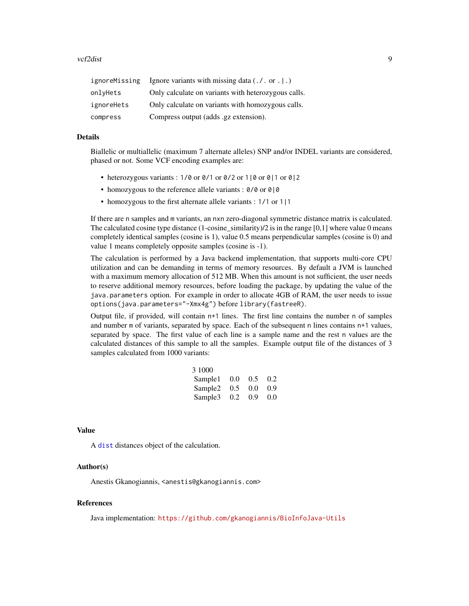#### <span id="page-8-0"></span>vcf2dist 9

| ignoreMissing | Ignore variants with missing data $(. / . or .   .)$ |
|---------------|------------------------------------------------------|
| onlyHets      | Only calculate on variants with heterozygous calls.  |
| ignoreHets    | Only calculate on variants with homozygous calls.    |
| compress      | Compress output (adds .gz extension).                |

#### Details

Biallelic or multiallelic (maximum 7 alternate alleles) SNP and/or INDEL variants are considered, phased or not. Some VCF encoding examples are:

- heterozygous variants : 1/0 or  $\frac{0}{1}$  or  $\frac{0}{2}$  or 1|0 or 0|1 or 0|2
- homozygous to the reference allele variants : 0/0 or 0|0
- homozygous to the first alternate allele variants : 1/1 or 1|1

If there are n samples and m variants, an nxn zero-diagonal symmetric distance matrix is calculated. The calculated cosine type distance  $(1$ -cosine\_similarity)/2 is in the range  $[0,1]$  where value 0 means completely identical samples (cosine is 1), value 0.5 means perpendicular samples (cosine is 0) and value 1 means completely opposite samples (cosine is -1).

The calculation is performed by a Java backend implementation, that supports multi-core CPU utilization and can be demanding in terms of memory resources. By default a JVM is launched with a maximum memory allocation of 512 MB. When this amount is not sufficient, the user needs to reserve additional memory resources, before loading the package, by updating the value of the java.parameters option. For example in order to allocate 4GB of RAM, the user needs to issue options(java.parameters="-Xmx4g") before library(fastreeR).

Output file, if provided, will contain n+1 lines. The first line contains the number n of samples and number m of variants, separated by space. Each of the subsequent n lines contains n+1 values, separated by space. The first value of each line is a sample name and the rest n values are the calculated distances of this sample to all the samples. Example output file of the distances of 3 samples calculated from 1000 variants:

| 3 1000              |               |               |      |
|---------------------|---------------|---------------|------|
| Sample1             | 0.0           | $0.5^{\circ}$ | 0.2  |
| Sample <sub>2</sub> | $0.5^{\circ}$ | 0.0           | 0.9  |
| Sample3             | 0.2           | 0.9           | -0.0 |

#### Value

A [dist](#page-0-0) distances object of the calculation.

#### Author(s)

Anestis Gkanogiannis, <anestis@gkanogiannis.com>

#### References

Java implementation: <https://github.com/gkanogiannis/BioInfoJava-Utils>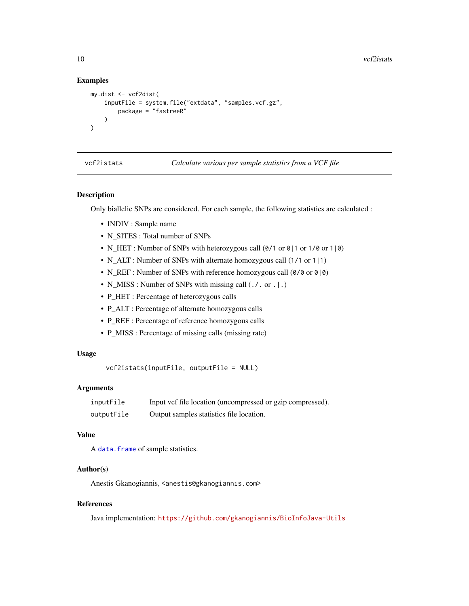#### Examples

```
my.dist <- vcf2dist(
    inputFile = system.file("extdata", "samples.vcf.gz",
        package = "fastreeR"
    \lambda\lambda
```
vcf2istats *Calculate various per sample statistics from a VCF file*

#### Description

Only biallelic SNPs are considered. For each sample, the following statistics are calculated :

- INDIV : Sample name
- N\_SITES : Total number of SNPs
- N\_HET : Number of SNPs with heterozygous call (0/1 or 0|1 or 1/0 or 1|0)
- N\_ALT : Number of SNPs with alternate homozygous call (1/1 or 1|1)
- N\_REF : Number of SNPs with reference homozygous call  $(0/0 \text{ or } 0/0)$
- N\_MISS : Number of SNPs with missing call (./. or . | .)
- P\_HET : Percentage of heterozygous calls
- P\_ALT : Percentage of alternate homozygous calls
- P\_REF : Percentage of reference homozygous calls
- P\_MISS : Percentage of missing calls (missing rate)

#### Usage

```
vcf2istats(inputFile, outputFile = NULL)
```
#### **Arguments**

| inputFile  | Input vcf file location (uncompressed or gzip compressed). |
|------------|------------------------------------------------------------|
| outputFile | Output samples statistics file location.                   |

#### Value

A [data.frame](#page-0-0) of sample statistics.

#### Author(s)

Anestis Gkanogiannis, <anestis@gkanogiannis.com>

#### References

Java implementation: <https://github.com/gkanogiannis/BioInfoJava-Utils>

<span id="page-9-0"></span>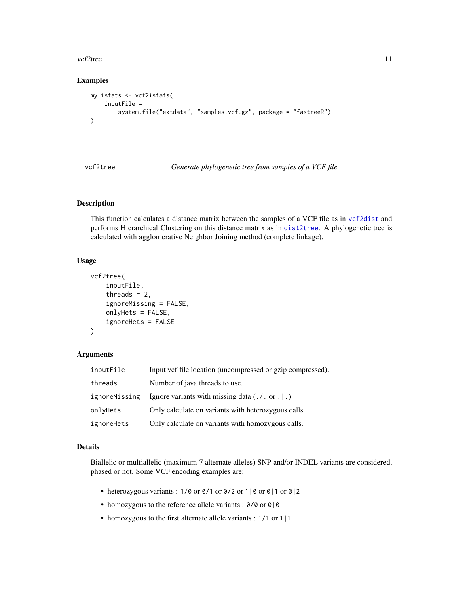#### <span id="page-10-0"></span>vcf2tree 11

#### Examples

```
my.istats <- vcf2istats(
   inputFile =
        system.file("extdata", "samples.vcf.gz", package = "fastreeR")
)
```
vcf2tree *Generate phylogenetic tree from samples of a VCF file*

#### Description

This function calculates a distance matrix between the samples of a VCF file as in [vcf2dist](#page-7-1) and performs Hierarchical Clustering on this distance matrix as in [dist2tree](#page-2-1). A phylogenetic tree is calculated with agglomerative Neighbor Joining method (complete linkage).

#### Usage

```
vcf2tree(
    inputFile,
    threads = 2,
    ignoreMissing = FALSE,
    onlyHets = FALSE,
    ignoreHets = FALSE
)
```
#### Arguments

| inputFile     | Input vcf file location (uncompressed or gzip compressed). |
|---------------|------------------------------------------------------------|
| threads       | Number of java threads to use.                             |
| ignoreMissing | Ignore variants with missing data $(. / . or .   .)$       |
| onlyHets      | Only calculate on variants with heterozygous calls.        |
| ignoreHets    | Only calculate on variants with homozygous calls.          |

#### Details

Biallelic or multiallelic (maximum 7 alternate alleles) SNP and/or INDEL variants are considered, phased or not. Some VCF encoding examples are:

- heterozygous variants : 1/0 or 0/1 or 0/2 or 1|0 or 0|1 or 0|2
- homozygous to the reference allele variants : 0/0 or 0|0
- homozygous to the first alternate allele variants : 1/1 or 1|1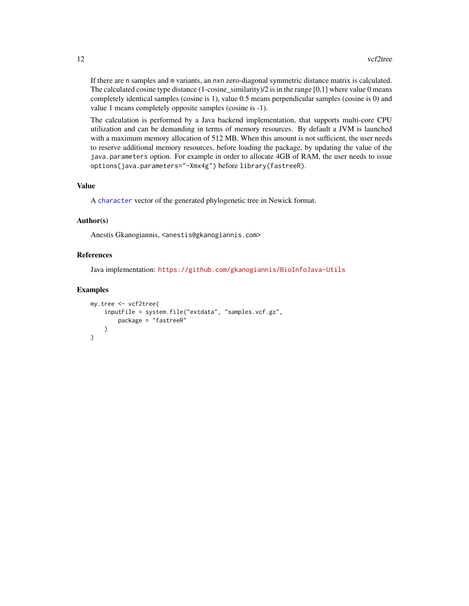<span id="page-11-0"></span>If there are n samples and m variants, an nxn zero-diagonal symmetric distance matrix is calculated. The calculated cosine type distance  $(1$ -cosine\_similarity)/2 is in the range  $[0,1]$  where value 0 means completely identical samples (cosine is 1), value 0.5 means perpendicular samples (cosine is 0) and value 1 means completely opposite samples (cosine is -1).

The calculation is performed by a Java backend implementation, that supports multi-core CPU utilization and can be demanding in terms of memory resources. By default a JVM is launched with a maximum memory allocation of 512 MB. When this amount is not sufficient, the user needs to reserve additional memory resources, before loading the package, by updating the value of the java.parameters option. For example in order to allocate 4GB of RAM, the user needs to issue options(java.parameters="-Xmx4g") before library(fastreeR).

#### Value

A [character](#page-0-0) vector of the generated phylogenetic tree in Newick format.

#### Author(s)

Anestis Gkanogiannis, <anestis@gkanogiannis.com>

#### References

Java implementation: <https://github.com/gkanogiannis/BioInfoJava-Utils>

#### Examples

```
my.tree <- vcf2tree(
    inputFile = system.file("extdata", "samples.vcf.gz",
        package = "fastreeR"
    )
\mathcal{L}
```